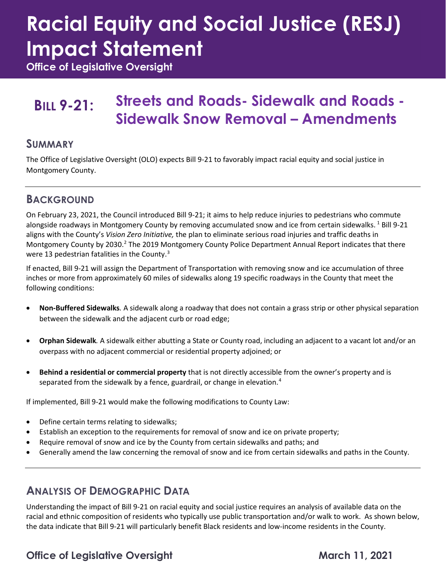# **Racial Equity and Social Justice (RESJ) Impact Statement**

**Office of Legislative Oversight**

## **BILL 9-21: Streets and Roads- Sidewalk and Roads - Sidewalk Snow Removal – Amendments**

### **SUMMARY**

The Office of Legislative Oversight (OLO) expects Bill 9-21 to favorably impact racial equity and social justice in Montgomery County.

## **BACKGROUND**

On February 23, 2021, the Council introduced Bill 9-21; it aims to help reduce injuries to pedestrians who commute alongside roadways in Montgomery County by removing accumulated snow and ice from certain sidewalks.<sup>[1](#page-2-0)</sup> Bill 9-21 aligns with the County's *Vision Zero Initiative,* the plan to eliminate serious road injuries and traffic deaths in Montgomery County by 2030.<sup>2</sup> The 2019 Montgomery County Police Department Annual Report indicates that there were 1[3](#page-2-2) pedestrian fatalities in the County.<sup>3</sup>

If enacted, Bill 9-21 will assign the Department of Transportation with removing snow and ice accumulation of three inches or more from approximately 60 miles of sidewalks along 19 specific roadways in the County that meet the following conditions:

- **Non-Buffered Sidewalks***.* A sidewalk along a roadway that does not contain a grass strip or other physical separation between the sidewalk and the adjacent curb or road edge;
- **Orphan Sidewalk***.* A sidewalk either abutting a State or County road, including an adjacent to a vacant lot and/or an overpass with no adjacent commercial or residential property adjoined; or
- **Behind a residential or commercial property** that is not directly accessible from the owner's property and is separated from the sidewalk by a fence, guardrail, or change in elevation.<sup>[4](#page-2-3)</sup>

If implemented, Bill 9-21 would make the following modifications to County Law:

- Define certain terms relating to sidewalks;
- Establish an exception to the requirements for removal of snow and ice on private property;
- Require removal of snow and ice by the County from certain sidewalks and paths; and
- Generally amend the law concerning the removal of snow and ice from certain sidewalks and paths in the County.

## **ANALYSIS OF DEMOGRAPHIC DATA**

Understanding the impact of Bill 9-21 on racial equity and social justice requires an analysis of available data on the racial and ethnic composition of residents who typically use public transportation and/or walk to work. As shown below, the data indicate that Bill 9-21 will particularly benefit Black residents and low-income residents in the County.

## **Office of Legislative Oversight March 11, 2021**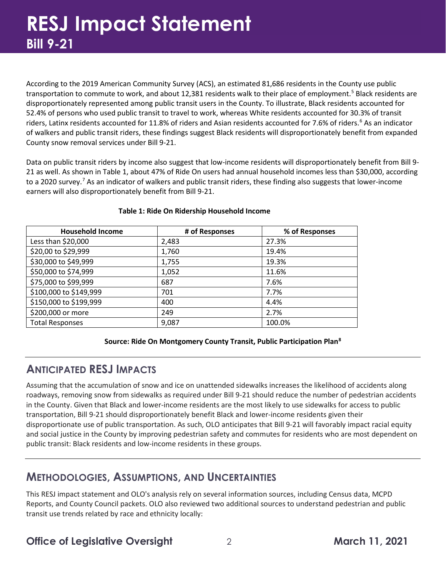According to the 2019 American Community Survey (ACS), an estimated 81,686 residents in the County use public transportation to commute to work, and about 12,381 residents walk to their place of employment.<sup>[5](#page-2-4)</sup> Black residents are disproportionately represented among public transit users in the County. To illustrate, Black residents accounted for 52.4% of persons who used public transit to travel to work, whereas White residents accounted for 30.3% of transit riders, Latinx residents accounted for 11.8% of riders and Asian residents accounted for 7.[6](#page-2-5)% of riders.<sup>6</sup> As an indicator of walkers and public transit riders, these findings suggest Black residents will disproportionately benefit from expanded County snow removal services under Bill 9-21.

Data on public transit riders by income also suggest that low-income residents will disproportionately benefit from Bill 9- 21 as well. As shown in Table 1, about 47% of Ride On users had annual household incomes less than \$30,000, according to a 2020 survey.<sup>[7](#page-2-6)</sup> As an indicator of walkers and public transit riders, these finding also suggests that lower-income earners will also disproportionately benefit from Bill 9-21.

| <b>Household Income</b> | # of Responses | % of Responses |
|-------------------------|----------------|----------------|
| Less than \$20,000      | 2,483          | 27.3%          |
| \$20,00 to \$29,999     | 1,760          | 19.4%          |
| \$30,000 to \$49,999    | 1,755          | 19.3%          |
| \$50,000 to \$74,999    | 1,052          | 11.6%          |
| \$75,000 to \$99,999    | 687            | 7.6%           |
| \$100,000 to \$149,999  | 701            | 7.7%           |
| \$150,000 to \$199,999  | 400            | 4.4%           |
| \$200,000 or more       | 249            | 2.7%           |
| <b>Total Responses</b>  | 9,087          | 100.0%         |

#### **Table 1: Ride On Ridership Household Income**

#### **Source: Ride On Montgomery County Transit, Public Participation Plan[8](#page-2-7)**

## **ANTICIPATED RESJ IMPACTS**

Assuming that the accumulation of snow and ice on unattended sidewalks increases the likelihood of accidents along roadways, removing snow from sidewalks as required under Bill 9-21 should reduce the number of pedestrian accidents in the County. Given that Black and lower-income residents are the most likely to use sidewalks for access to public transportation, Bill 9-21 should disproportionately benefit Black and lower-income residents given their disproportionate use of public transportation. As such, OLO anticipates that Bill 9-21 will favorably impact racial equity and social justice in the County by improving pedestrian safety and commutes for residents who are most dependent on public transit: Black residents and low-income residents in these groups.

## **METHODOLOGIES, ASSUMPTIONS, AND UNCERTAINTIES**

This RESJ impact statement and OLO's analysis rely on several information sources, including Census data, MCPD Reports, and County Council packets. OLO also reviewed two additional sources to understand pedestrian and public transit use trends related by race and ethnicity locally:

**Office of Legislative Oversight** 2<br>
2<br>
2<br>
2<br>
2